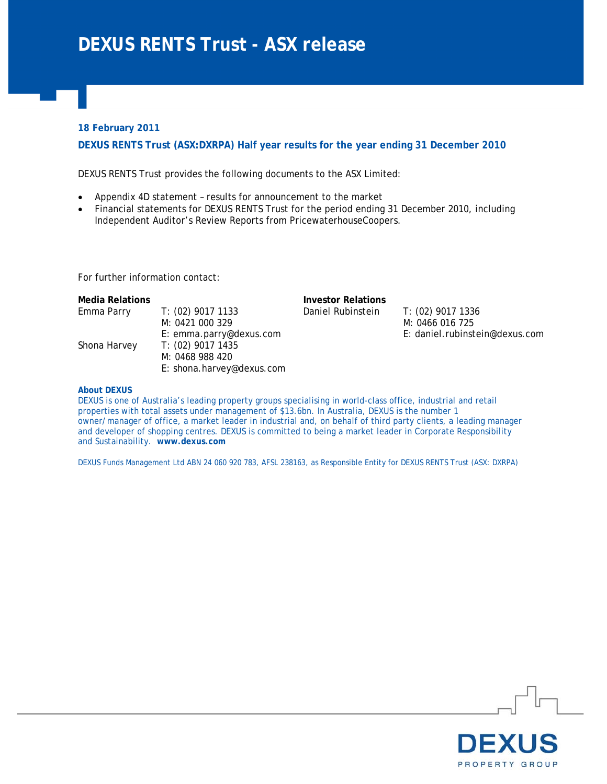### **18 February 2011**

**DEXUS RENTS Trust (ASX:DXRPA) Half year results for the year ending 31 December 2010** 

DEXUS RENTS Trust provides the following documents to the ASX Limited:

• Appendix 4D statement – results for announcement to the market

E: shona.harvey@dexus.com

• Financial statements for DEXUS RENTS Trust for the period ending 31 December 2010, including Independent Auditor's Review Reports from PricewaterhouseCoopers.

For further information contact:

| Media Relations |                         | <b>Investor Relations</b> |                                |
|-----------------|-------------------------|---------------------------|--------------------------------|
| Emma Parry      | T: (02) 9017 1133       | Daniel Rubinstein         | T: (02) 9017 1336              |
|                 | M: 0421 000 329         |                           | M: 0466 016 725                |
|                 | E: emma.parry@dexus.com |                           | E: daniel.rubinstein@dexus.com |
| Shona Harvey    | T: (02) 9017 1435       |                           |                                |
|                 | M: 0468 988 420         |                           |                                |

#### **About DEXUS**

DEXUS is one of Australia's leading property groups specialising in world-class office, industrial and retail properties with total assets under management of \$13.6bn. In Australia, DEXUS is the number 1 owner/manager of office, a market leader in industrial and, on behalf of third party clients, a leading manager and developer of shopping centres. DEXUS is committed to being a market leader in Corporate Responsibility and Sustainability. **www.dexus.com**

DEXUS Funds Management Ltd ABN 24 060 920 783, AFSL 238163, as Responsible Entity for DEXUS RENTS Trust (ASX: DXRPA)

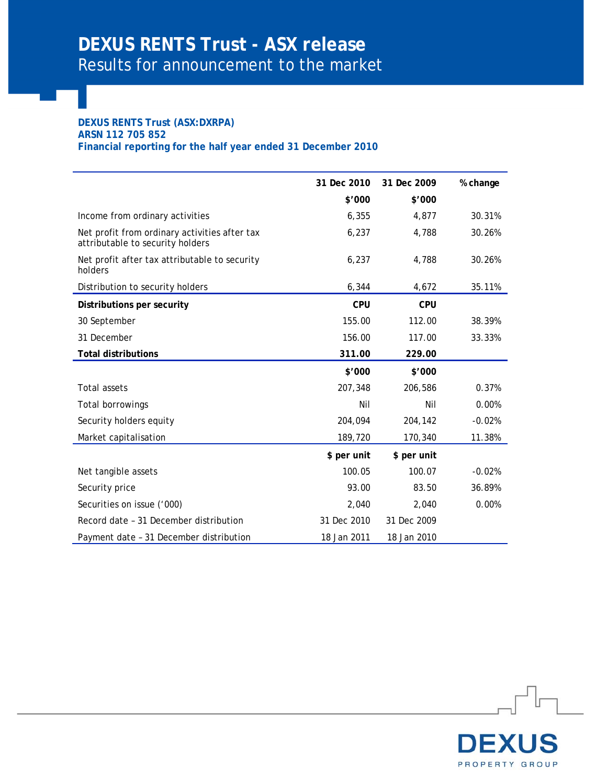### **DEXUS RENTS Trust (ASX:DXRPA) ARSN 112 705 852 Financial reporting for the half year ended 31 December 2010**

|                                                                                   | 31 Dec 2010<br>\$'000 | 31 Dec 2009<br>\$'000 | % change |
|-----------------------------------------------------------------------------------|-----------------------|-----------------------|----------|
| Income from ordinary activities                                                   | 6,355                 | 4,877                 | 30.31%   |
| Net profit from ordinary activities after tax<br>attributable to security holders | 6,237                 | 4,788                 | 30.26%   |
| Net profit after tax attributable to security<br>holders                          | 6,237                 | 4,788                 | 30.26%   |
| Distribution to security holders                                                  | 6,344                 | 4,672                 | 35.11%   |
| Distributions per security                                                        | <b>CPU</b>            | <b>CPU</b>            |          |
| 30 September                                                                      | 155.00                | 112.00                | 38.39%   |
| 31 December                                                                       | 156.00                | 117.00                | 33.33%   |
| <b>Total distributions</b>                                                        | 311.00                | 229.00                |          |
|                                                                                   | \$'000                | \$'000                |          |
| <b>Total assets</b>                                                               | 207,348               | 206,586               | 0.37%    |
| Total borrowings                                                                  | Nil                   | Nil                   | 0.00%    |
| Security holders equity                                                           | 204,094               | 204,142               | $-0.02%$ |
| Market capitalisation                                                             | 189,720               | 170,340               | 11.38%   |
|                                                                                   | \$ per unit           | \$ per unit           |          |
| Net tangible assets                                                               | 100.05                | 100.07                | $-0.02%$ |
| Security price                                                                    | 93.00                 | 83.50                 | 36.89%   |
| Securities on issue ('000)                                                        | 2,040                 | 2,040                 | 0.00%    |
| Record date - 31 December distribution                                            | 31 Dec 2010           | 31 Dec 2009           |          |
| Payment date - 31 December distribution                                           | 18 Jan 2011           | 18 Jan 2010           |          |

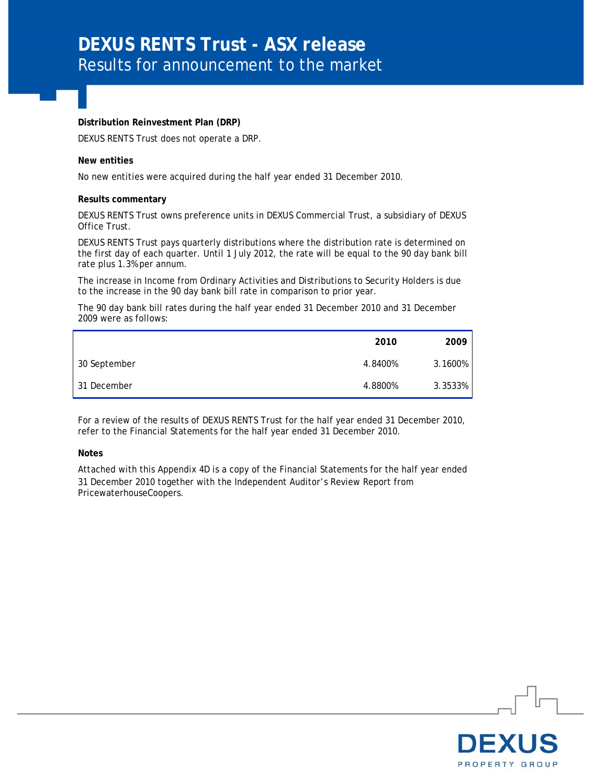# **DEXUS RENTS Trust - ASX release**  Results for announcement to the market

#### **Distribution Reinvestment Plan (DRP)**

DEXUS RENTS Trust does not operate a DRP.

#### **New entities**

No new entities were acquired during the half year ended 31 December 2010.

#### **Results commentary**

DEXUS RENTS Trust owns preference units in DEXUS Commercial Trust, a subsidiary of DEXUS Office Trust.

DEXUS RENTS Trust pays quarterly distributions where the distribution rate is determined on the first day of each quarter. Until 1 July 2012, the rate will be equal to the 90 day bank bill rate plus 1.3% per annum.

The increase in Income from Ordinary Activities and Distributions to Security Holders is due to the increase in the 90 day bank bill rate in comparison to prior year.

The 90 day bank bill rates during the half year ended 31 December 2010 and 31 December 2009 were as follows:

|              | 2010    | 2009    |
|--------------|---------|---------|
| 30 September | 4.8400% | 3.1600% |
| 31 December  | 4.8800% | 3.3533% |

For a review of the results of DEXUS RENTS Trust for the half year ended 31 December 2010, refer to the Financial Statements for the half year ended 31 December 2010.

#### **Notes**

Attached with this Appendix 4D is a copy of the Financial Statements for the half year ended 31 December 2010 together with the Independent Auditor's Review Report from PricewaterhouseCoopers.

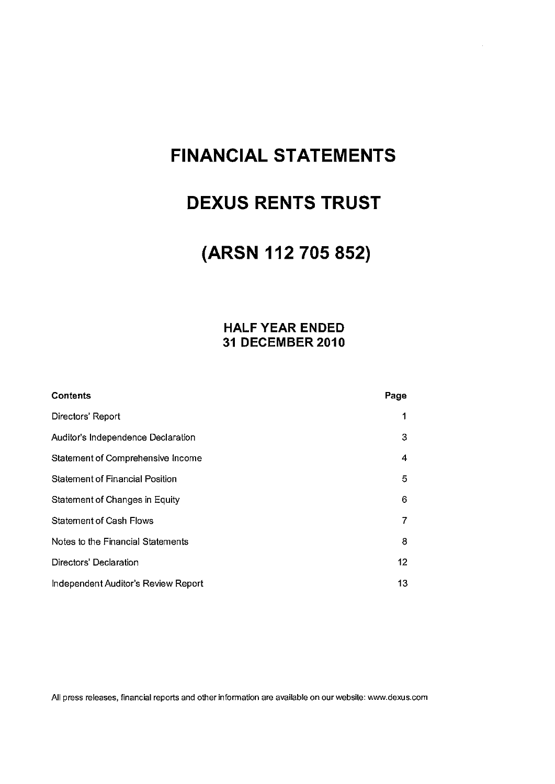# **FINANCIAL STATEMENTS**

# **DEXUS RENTS TRUST**

# (ARSN 112 705 852)

## **HALF YEAR ENDED** 31 DECEMBER 2010

| <b>Contents</b>                        | Page |
|----------------------------------------|------|
| Directors' Report                      | 1    |
| Auditor's Independence Declaration     | 3    |
| Statement of Comprehensive Income      | 4    |
| <b>Statement of Financial Position</b> | 5    |
| Statement of Changes in Equity         | 6    |
| <b>Statement of Cash Flows</b>         | 7    |
| Notes to the Financial Statements      | 8    |
| Directors' Declaration                 | 12   |
| Independent Auditor's Review Report    | 13   |

All press releases, financial reports and other information are available on our website: www.dexus.com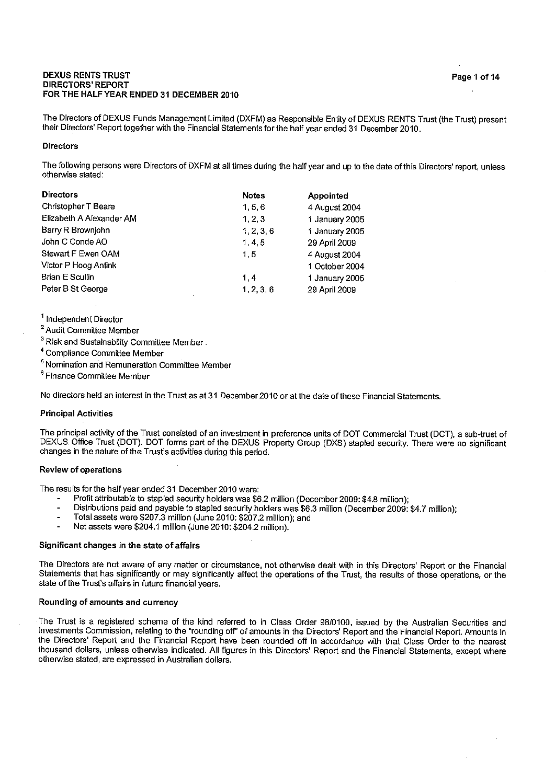#### **DEXUS RENTS TRUST DIRECTORS' REPORT** FOR THE HALF YEAR ENDED 31 DECEMBER 2010

The Directors of DEXUS Funds Management Limited (DXFM) as Responsible Entity of DEXUS RENTS Trust (the Trust) present their Directors' Report together with the Financial Statements for the half year ended 31 December 2010.

#### **Directors**

The following persons were Directors of DXFM at all times during the half year and up to the date of this Directors' report, unless otherwise stated:

| <b>Directors</b>         | <b>Notes</b> | Appointed      |
|--------------------------|--------------|----------------|
| Christopher T Beare      | 1, 5, 6      | 4 August 2004  |
| Elizabeth A Alexander AM | 1, 2, 3      | 1 January 2005 |
| Barry R Brownjohn        | 1, 2, 3, 6   | 1 January 2005 |
| John C Conde AO          | 1, 4, 5      | 29 April 2009  |
| Stewart F Ewen OAM       | 1, 5         | 4 August 2004  |
| Victor P Hoog Antink     |              | 1 October 2004 |
| Brian E Scullin          | 1,4          | 1 January 2005 |
| Peter B St George        | 1, 2, 3, 6   | 29 April 2009  |

<sup>1</sup> Independent Director

<sup>2</sup> Audit Committee Member

<sup>3</sup> Risk and Sustainability Committee Member.

<sup>4</sup> Compliance Committee Member

<sup>5</sup> Nomination and Remuneration Committee Member

<sup>6</sup> Finance Committee Member

No directors held an interest in the Trust as at 31 December 2010 or at the date of these Financial Statements.

#### **Principal Activities**

The principal activity of the Trust consisted of an investment in preference units of DOT Commercial Trust (DCT), a sub-trust of DEXUS Office Trust (DOT). DOT forms part of the DEXUS Property Group (DXS) stapled security. There were no significant changes in the nature of the Trust's activities during this period.

#### **Review of operations**

The results for the half vear ended 31 December 2010 were:

- Profit attributable to stapled security holders was \$6.2 million (December 2009: \$4.8 million);
- Distributions paid and payable to stapled security holders was \$6.3 million (December 2009: \$4.7 million);
- Total assets were \$207.3 million (June 2010: \$207.2 million); and  $\overline{a}$
- Net assets were \$204.1 million (June 2010: \$204.2 million).

#### Significant changes in the state of affairs

The Directors are not aware of any matter or circumstance, not otherwise dealt with in this Directors' Report or the Financial Statements that has significantly or may significantly affect the operations of the Trust, the results of those operations, or the state of the Trust's affairs in future financial years.

#### Rounding of amounts and currency

The Trust is a registered scheme of the kind referred to in Class Order 98/0100, issued by the Australian Securities and Investments Commission, relating to the "rounding off" of amounts in the Directors' Report and the Financial Report. Amounts in the Directors' Report and the Financial Report have been rounded off in accordance with that Class Order to the nearest thousand dollars, unless otherwise indicated. All figures in this Directors' Report and the Financial Statements, except where otherwise stated, are expressed in Australian dollars.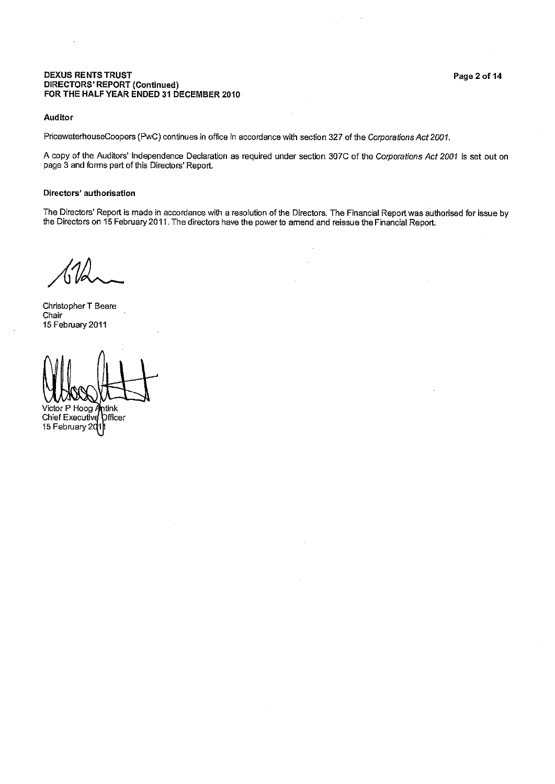# **DEXUS RENTS TRUST** DIRECTORS' REPORT (Continued)<br>FOR THE HALF YEAR ENDED 31 DECEMBER 2010

#### Auditor

PricewaterhouseCoopers (PwC) continues in office in accordance with section 327 of the Corporations Act 2001.

A copy of the Auditors' Independence Declaration as required under section 307C of the Corporations Act 2001 is set out on page 3 and forms part of this Directors' Report.

#### Directors' authorisation

The Directors' Report is made in accordance with a resolution of the Directors. The Financial Report was authorised for issue by<br>the Directors on 15 February 2011. The directors have the power to amend and reissue the Fina

Christopher T Beare Chair 15 February 2011

Victor P Hoog Antink

Chief Executive *<u>Dificer</u>* 15 February 2011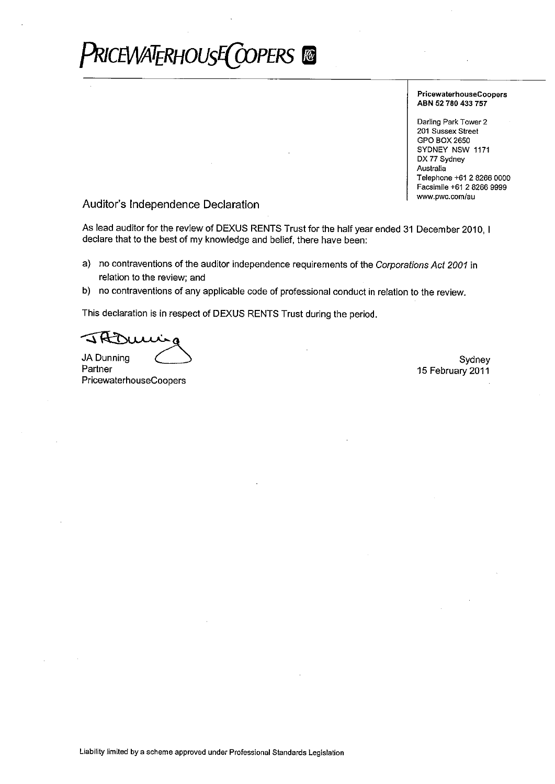# PriceWATERHOUsEC COPERS ®

**PricewaterhouseCoopers** ABN 52 780 433 757

Darling Park Tower 2 201 Sussex Street GPO BOX 2650 SYDNEY NSW 1171 DX 77 Sydney Australia Telephone +61 2 8266 0000 Facsimile +61 2 8266 9999 www.pwc.com/au

## Auditor's Independence Declaration

As lead auditor for the review of DEXUS RENTS Trust for the half year ended 31 December 2010, I declare that to the best of my knowledge and belief, there have been:

- a) no contraventions of the auditor independence requirements of the Corporations Act 2001 in relation to the review; and
- b) no contraventions of any applicable code of professional conduct in relation to the review.

This declaration is in respect of DEXUS RENTS Trust during the period.

**JA Dunning** 

Partner PricewaterhouseCoopers

Sydney 15 February 2011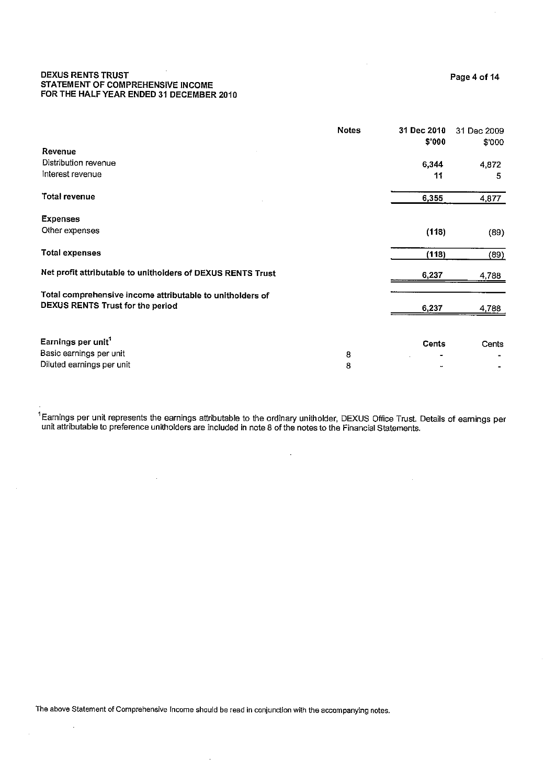#### $\sim$   $\lambda$ **DEXUS RENTS TRUST** STATEMENT OF COMPREHENSIVE INCOME FOR THE HALF YEAR ENDED 31 DECEMBER 2010

|                                                             | <b>Notes</b> | 31 Dec 2010<br>\$'000 | 31 Dec 2009<br>\$'000 |
|-------------------------------------------------------------|--------------|-----------------------|-----------------------|
| Revenue                                                     |              |                       |                       |
| Distribution revenue                                        |              | 6,344                 | 4,872                 |
| interest revenue                                            |              | 11                    | 5                     |
| <b>Total revenue</b>                                        |              | 6,355                 | 4.877                 |
| <b>Expenses</b>                                             |              |                       |                       |
| Other expenses                                              |              | (118)                 | (89)                  |
| <b>Total expenses</b>                                       |              | (118)                 | (89)                  |
| Net profit attributable to unitholders of DEXUS RENTS Trust |              | 6,237                 | 4,788                 |
| Total comprehensive income attributable to unitholders of   |              |                       |                       |
| DEXUS RENTS Trust for the period                            |              | 6,237                 | 4,788                 |
|                                                             |              |                       |                       |
| Earnings per unit <sup>1</sup>                              |              | <b>Cents</b>          | Cents                 |
| Basic earnings per unit                                     | 8            |                       |                       |
| Diluted earnings per unit                                   | 8            |                       |                       |

<sup>1</sup> Eamings per unit represents the earnings attributable to the ordinary unitholder, DEXUS Office Trust. Details of earnings per unit attributable to preference unitholders are included in note 8 of the notes to the Finan

 $\bar{z}$ 

The above Statement of Comprehensive Income should be read in conjunction with the accompanying notes.

 $\hat{\boldsymbol{\theta}}$ 

 $\bar{\beta}$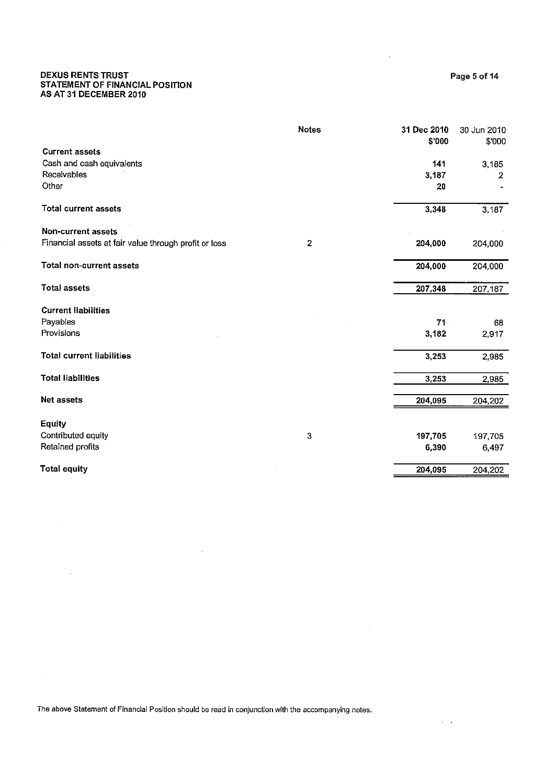#### **DEXUS RENTS TRUST** STATEMENT OF FINANCIAL POSITION AS AT 31 DECEMBER 2010

**Total assets** 

|                                                       | <b>Notes</b> | 31 Dec 2010<br>\$'000 | 30 Jun 2010<br>\$'000 |
|-------------------------------------------------------|--------------|-----------------------|-----------------------|
| <b>Current assets</b>                                 |              |                       |                       |
| Cash and cash equivalents                             |              | 141                   | 3,185                 |
| Receivables                                           |              | 3,187                 | 2                     |
| Other                                                 |              | 20                    |                       |
| <b>Total current assets</b>                           |              | 3,348                 | 3,187                 |
| Non-current assets                                    |              |                       |                       |
| Financial assets at fair value through profit or loss | 2            | 204,000               | 204,000               |
| Total non-current assets                              |              | 204.000               | 204,000               |

| <b>Total assets</b>              |          | 207,348 |
|----------------------------------|----------|---------|
| <b>Current liabilities</b>       |          |         |
| Payables                         |          | 71.     |
| Provisions                       | $\Delta$ | 3,182   |
| <b>Total current liabilities</b> |          | 3,253   |
| <b>Total liabilities</b>         |          | 3,253   |
| <b>Net assets</b>                |          | 204,095 |
| <b>Equity</b>                    |          |         |
| Contributed equity               | 3        | 197,705 |
| Retained profits                 |          | 6,390   |

**Total equity** 

 $\ddot{\phantom{a}}$ 

The above Statement of Financial Position should be read in conjunction with the accompanying notes.

Page 5 of 14

207,187

68

2,917

2,985

2,985

204,202

197,705

204,202

204,095

 $\lambda = 0.1$ 

6,497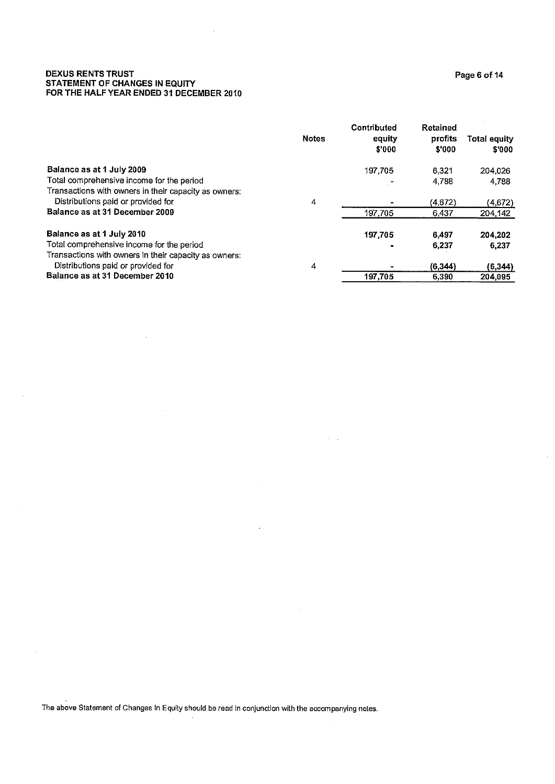# **DEXUS RENTS TRUST<br>STATEMENT OF CHANGES IN EQUITY<br>FOR THE HALF YEAR ENDED 31 DECEMBER 2010**

|                                                       | <b>Notes</b> | Contributed<br>equity<br>\$'000 | <b>Retained</b><br>profits<br>\$'000 | Total equity<br>\$'000 |
|-------------------------------------------------------|--------------|---------------------------------|--------------------------------------|------------------------|
| Balance as at 1 July 2009                             |              | 197.705                         | 6.321                                | 204.026                |
| Total comprehensive income for the period             |              |                                 | 4,788                                | 4.788                  |
| Transactions with owners in their capacity as owners: |              |                                 |                                      |                        |
| Distributions paid or provided for                    | 4            |                                 | (4.672)                              | (4,672)                |
| Balance as at 31 December 2009                        |              | 197.705                         | 6,437                                | 204.142                |
| Balance as at 1 July 2010                             |              | 197 705                         | 6.497                                | 204.202                |
| Total comprehensive income for the period             |              |                                 | 6,237                                | 6,237                  |
| Transactions with owners in their capacity as owners: |              |                                 |                                      |                        |
| Distributions paid or provided for                    | 4            |                                 | (6.344)                              | (6, 344)               |
| Balance as at 31 December 2010                        |              | 197.705                         | 6.390                                | 204.095                |

 $\sigma_{\rm{max}}$ 

The above Statement of Changes In Equity should be read in conjunction with the accompanying notes.

 $\bar{\beta}$ 

 $\bar{\mathcal{A}}$ 

Page 6 of 14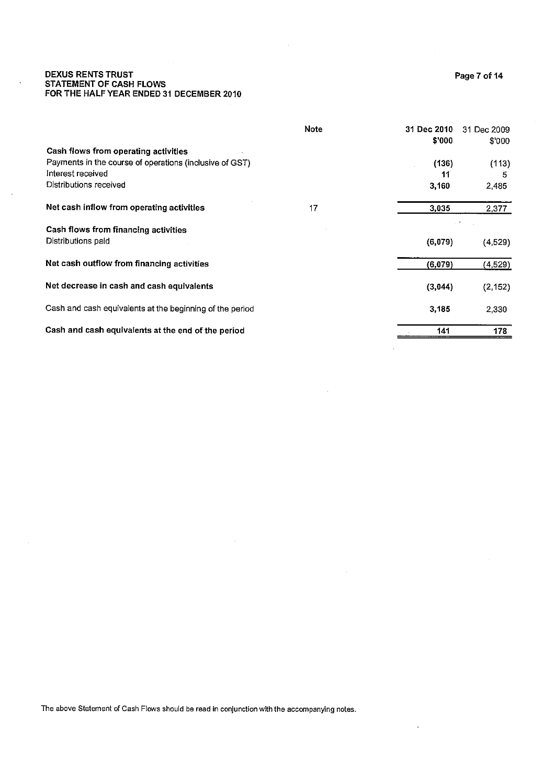# **DEXUS RENTS TRUST** STATEMENT OF CASH FLOWS<br>FOR THE HALF YEAR ENDED 31 DECEMBER 2010

|                                                            | Note | 31 Dec 2010 | 31 Dec 2009 |
|------------------------------------------------------------|------|-------------|-------------|
| Cash flows from operating activities                       |      | \$'000      | \$'000      |
| Payments in the course of operations (inclusive of GST)    |      | (136)       | (113)       |
| Interest received                                          |      | 11          | 5           |
| Distributions received                                     |      | 3,160       | 2,485       |
| Net cash inflow from operating activities                  | 17   | 3,035       | 2,377       |
| Cash flows from financing activities<br>Distributions paid |      | (6,079)     | (4,529)     |
| Net cash outflow from financing activities                 |      | (6,079)     | (4,529)     |
| Net decrease in cash and cash equivalents                  |      | (3,044)     | (2, 152)    |
| Cash and cash equivalents at the beginning of the period   |      | 3.185       | 2,330       |
| Cash and cash equivalents at the end of the period         |      | 141         | 178         |

 $\lambda$ 

The above Statement of Cash Flows should be read in conjunction with the accompanying notes.

 $\hat{\boldsymbol{\beta}}$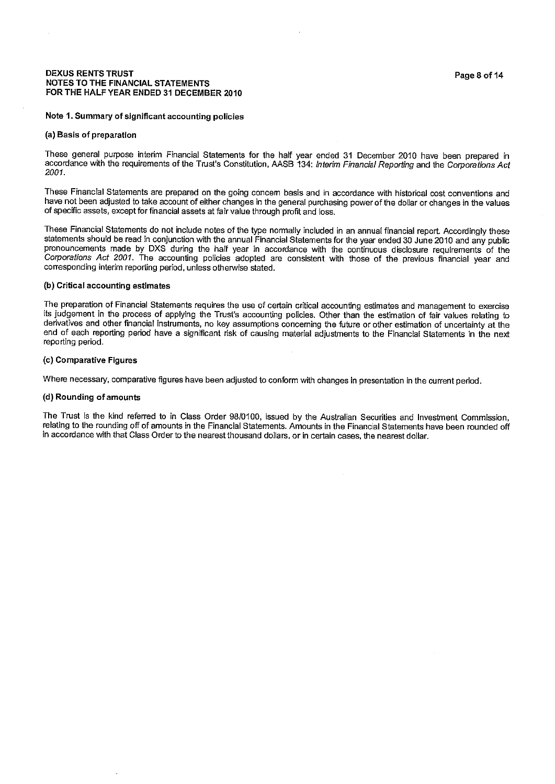#### **DEXUS RENTS TRUST NOTES TO THE FINANCIAL STATEMENTS** FOR THE HALF YEAR ENDED 31 DECEMBER 2010

#### Note 1. Summary of significant accounting policies

#### (a) Basis of preparation

These general purpose interim Financial Statements for the half year ended 31 December 2010 have been prepared in accordance with the requirements of the Trust's Constitution, AASB 134: Interim Financial Reporting and the Corporations Act 2001.

These Financial Statements are prepared on the going concem basis and in accordance with historical cost conventions and have not been adjusted to take account of either changes in the general purchasing power of the dollar or changes in the values of specific assets, except for financial assets at fair value through profit and loss.

These Financial Statements do not include notes of the type normally included in an annual financial report. Accordingly these statements should be read in conjunction with the annual Financial Statements for the year ended 30 June 2010 and any public pronouncements made by DXS during the half year in accordance with the continuous disclosure requirements of the Corporations Act 2001. The accounting policies adopted are consistent with those of the previous financial year and corresponding interim reporting period, unless otherwise stated.

#### (b) Critical accounting estimates

The preparation of Financial Statements requires the use of certain critical accounting estimates and management to exercise its iudgement in the process of applying the Trust's accounting policies. Other than the estimation of fair values relating to derivatives and other financial instruments, no key assumptions concerning the future or other estimation of uncertainty at the end of each reporting period have a significant risk of causing material adjustments to the Financial Statements in the next reporting period.

#### (c) Comparative Figures

Where necessary, comparative figures have been adjusted to conform with changes in presentation in the current period.

#### (d) Rounding of amounts

The Trust is the kind referred to in Class Order 98/0100, issued by the Australian Securities and Investment Commission, relating to the rounding off of amounts in the Financial Statements. Amounts in the Financial Statements have been rounded off in accordance with that Class Order to the nearest thousand dollars, or in certain cases, the nearest dollar.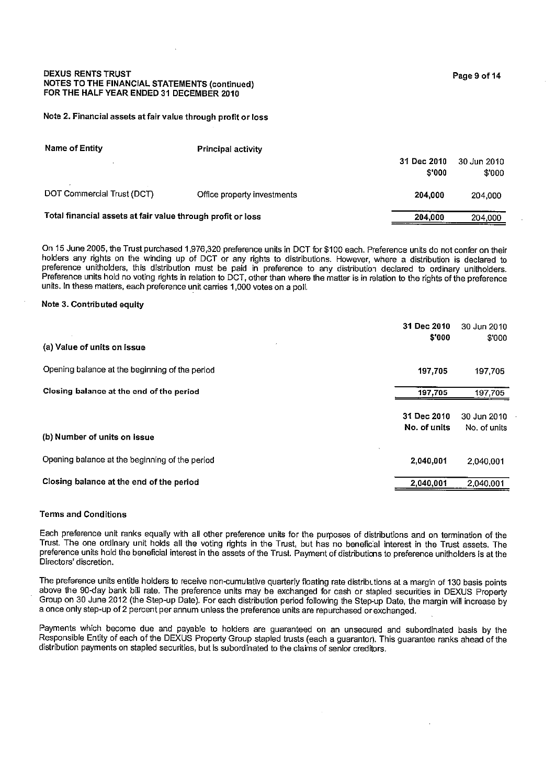#### **DEXUS RENTS TRUST** NOTES TO THE FINANCIAL STATEMENTS (continued) FOR THE HALF YEAR ENDED 31 DECEMBER 2010

#### Note 2. Financial assets at fair value through profit or loss

| Name of Entity                                              | <b>Principal activity</b>   |                       |                       |
|-------------------------------------------------------------|-----------------------------|-----------------------|-----------------------|
|                                                             |                             | 31 Dec 2010<br>\$'000 | 30 Jun 2010<br>\$'000 |
| DOT Commercial Trust (DCT)                                  | Office property investments | 204,000               | 204,000               |
| Total financial assets at fair value through profit or loss |                             | 204.000               | 204.000               |

On 15 June 2005, the Trust purchased 1,976,320 preference units in DCT for \$100 each. Preference units do not confer on their holders any rights on the winding up of DCT or any rights to distributions. However, where a distribution is declared to preference unitholders, this distribution must be paid in preference to any distribution declared to ordinary unitholders. Preference units hold no voting rights in relation to DCT, other than where the matter is in relation to the rights of the preference units. In these matters, each preference unit carries 1,000 votes on a poll.

#### Note 3. Contributed equity

| (a) Value of units on issue                    | 31 Dec 2010<br>\$'000       | 30 Jun 2010<br>\$'000       |
|------------------------------------------------|-----------------------------|-----------------------------|
| Opening balance at the beginning of the period | 197,705                     | 197,705                     |
| Closing balance at the end of the period       | 197,705                     | 197,705                     |
|                                                | 31 Dec 2010<br>No. of units | 30 Jun 2010<br>No. of units |
| (b) Number of units on issue                   |                             |                             |
| Opening balance at the beginning of the period | 2,040,001                   | 2,040,001                   |
| Closing balance at the end of the period       | 2,040,001                   | 2,040,001                   |

#### **Terms and Conditions**

Each preference unit ranks equally with all other preference units for the purposes of distributions and on termination of the Trust. The one ordinary unit holds all the voting rights in the Trust, but has no beneficial interest in the Trust assets. The preference units hold the beneficial interest in the assets of the Trust. Payment of distributions to preference unitholders is at the Directors' discretion.

The preference units entitle holders to receive non-cumulative quarterly floating rate distributions at a margin of 130 basis points above the 90-day bank bill rate. The preference units may be exchanged for cash or stapled securities in DEXUS Property Group on 30 June 2012 (the Step-up Date). For each distribution period following the Step-up Date, the margin will increase by a once only step-up of 2 percent per annum unless the preference units are repurchased or exchanged.

Payments which become due and payable to holders are guaranteed on an unsecured and subordinated basis by the Responsible Entity of each of the DEXUS Property Group stapled trusts (each a guarantor). This guarantee ranks ahead of the distribution payments on stapled securities, but is subordinated to the claims of senior creditors.

Page 9 of 14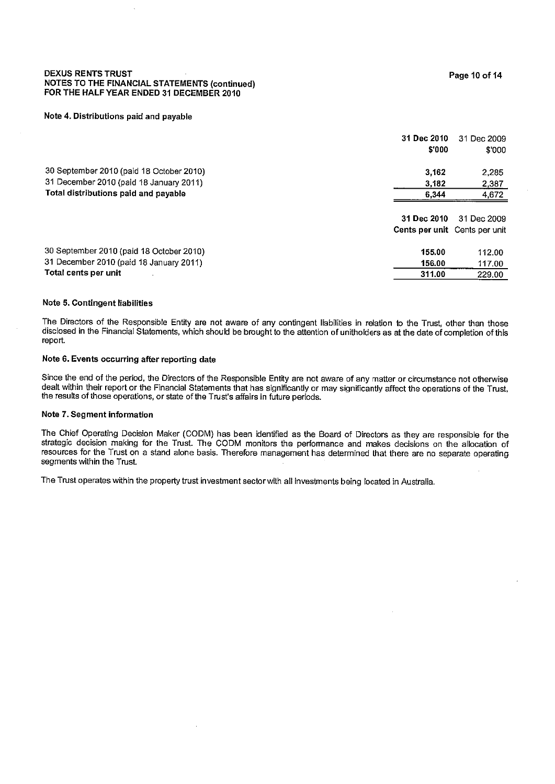#### **DEXUS RENTS TRUST NOTES TO THE FINANCIAL STATEMENTS (continued)** FOR THE HALF YEAR ENDED 31 DECEMBER 2010

#### Note 4. Distributions paid and payable

|                                          | 31 Dec 2010<br>\$'000         | 31 Dec 2009<br>\$'000 |
|------------------------------------------|-------------------------------|-----------------------|
| 30 September 2010 (paid 18 October 2010) | 3.162                         | 2.285                 |
| 31 December 2010 (paid 18 January 2011)  | 3.182                         | 2.387                 |
| Total distributions paid and payable     | 6,344                         | 4,672                 |
|                                          | 31 Dec 2010                   | 31 Dec 2009           |
|                                          | Cents per unit Cents per unit |                       |
| 30 September 2010 (paid 18 October 2010) | 155.00                        | 112.00                |
| 31 December 2010 (paid 18 January 2011)  | 156.00                        | 117.00                |
| Total cents per unit                     | 311.00                        | 229.00                |

#### Note 5. Contingent liabilities

The Directors of the Responsible Entity are not aware of any contingent liabilities in relation to the Trust, other than those disclosed in the Financial Statements, which should be brought to the attention of unitholders as at the date of completion of this report.

#### Note 6. Events occurring after reporting date

Since the end of the period, the Directors of the Responsible Entity are not aware of any matter or circumstance not otherwise dealt within their report or the Financial Statements that has significantly or may significantly affect the operations of the Trust, the results of those operations, or state of the Trust's affairs in future periods.

#### Note 7. Segment information

The Chief Operating Decision Maker (CODM) has been identified as the Board of Directors as they are responsible for the strategic decision making for the Trust. The CODM monitors the performance and makes decisions on the allocation of resources for the Trust on a stand alone basis. Therefore management has determined that there are no separate operating segments within the Trust.

The Trust operates within the property trust investment sector with all investments being located in Australia.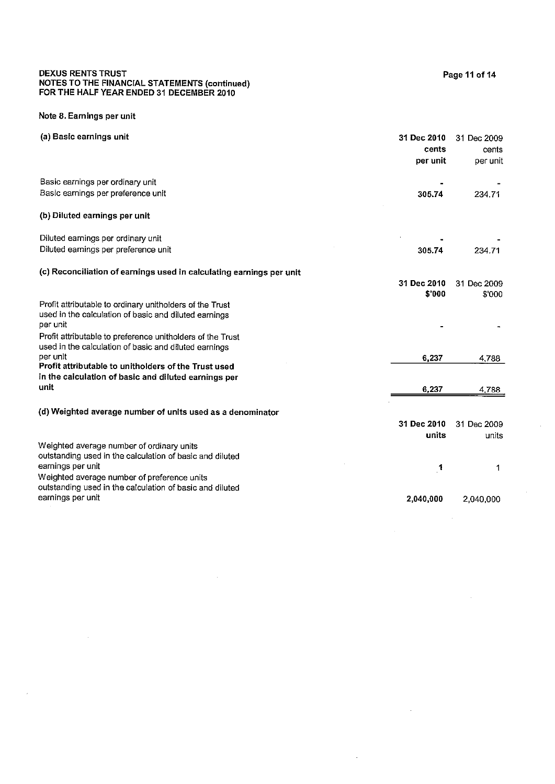# DEXUS RENTS TRUST<br>NOTES TO THE FINANCIAL STATEMENTS (continued)<br>FOR THE HALF YEAR ENDED 31 DECEMBER 2010

### Note 8. Earnings per unit

 $\sim$ 

 $\bar{z}$ 

| (a) Basic earnings unit                                                                                                                                                   | 31 Dec 2010<br>cents<br>per unit | 31 Dec 2009<br>cents<br>per unit |
|---------------------------------------------------------------------------------------------------------------------------------------------------------------------------|----------------------------------|----------------------------------|
| Basic earnings per ordinary unit<br>Basic earnings per preference unit                                                                                                    | 305.74                           | 234.71                           |
| (b) Diluted earnings per unit                                                                                                                                             |                                  |                                  |
| Diluted earnings per ordinary unit<br>Diluted earnings per preference unit                                                                                                | 305.74                           | 234.71                           |
| (c) Reconciliation of earnings used in calculating earnings per unit                                                                                                      | 31 Dec 2010<br>\$'000            | 31 Dec 2009<br>\$'000            |
| Profit attributable to ordinary unitholders of the Trust<br>used in the calculation of basic and diluted earnings<br>per unit                                             |                                  |                                  |
| Profit attributable to preference unitholders of the Trust<br>used in the calculation of basic and diluted earnings<br>per unit                                           | 6,237                            | 4,788                            |
| Profit attributable to unitholders of the Trust used<br>in the calculation of basic and diluted earnings per<br>unit                                                      | 6,237                            | 4,788                            |
| (d) Weighted average number of units used as a denominator                                                                                                                | 31 Dec 2010<br>units             | 31 Dec 2009<br>units             |
| Weighted average number of ordinary units<br>outstanding used in the calculation of basic and diluted<br>earnings per unit<br>Weighted average number of preference units | 1                                | 1                                |
| outstanding used in the calculation of basic and diluted<br>earnings per unit                                                                                             | 2,040,000                        | 2,040,000                        |

 $\bar{z}$ 

 $\sim$ 

 $\sim 10^7$ 

 $\ddot{\phantom{0}}$ 

 $\sim$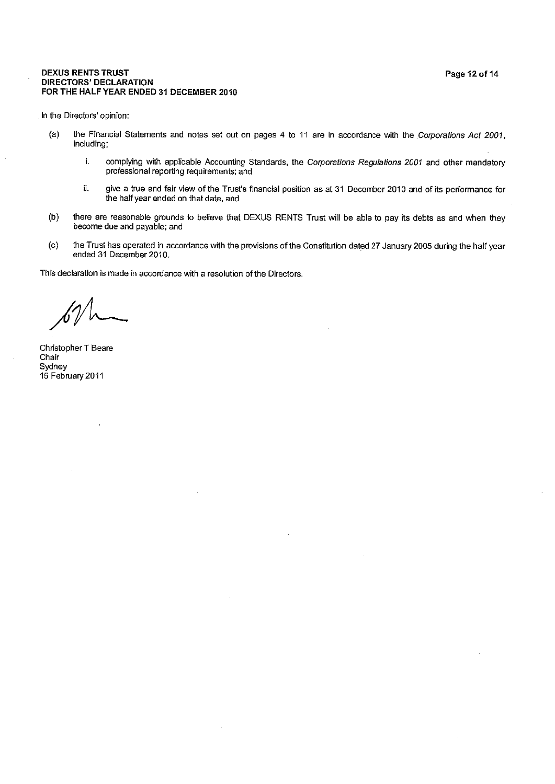#### **DEXUS RENTS TRUST DIRECTORS' DECLARATION** FOR THE HALF YEAR ENDED 31 DECEMBER 2010

In the Directors' opinion:

- $(a)$ the Financial Statements and notes set out on pages 4 to 11 are in accordance with the Corporations Act 2001, includina:
	- i. complying with applicable Accounting Standards, the Corporations Regulations 2001 and other mandatory professional reporting requirements; and
	- ii. give a true and fair view of the Trust's financial position as at 31 December 2010 and of its performance for the half year ended on that date, and
- $(b)$ there are reasonable grounds to believe that DEXUS RENTS Trust will be able to pay its debts as and when they become due and payable; and
- the Trust has operated in accordance with the provisions of the Constitution dated 27 January 2005 during the half year  $(c)$ ended 31 December 2010.

This declaration is made in accordance with a resolution of the Directors.

Christopher T Beare Chair Sydney 15 February 2011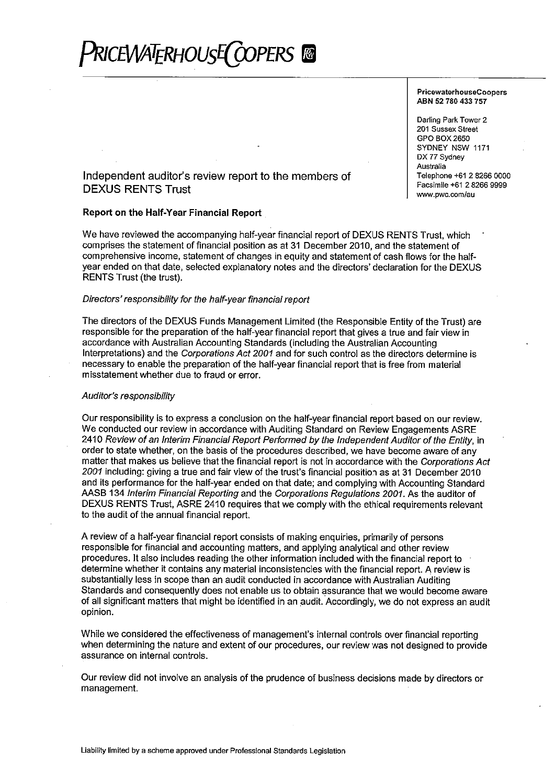

#### **PricewaterhouseCoopers** ABN 52 780 433 757

Darling Park Tower 2 201 Sussex Street GPO BOX 2650 SYDNEY NSW 1171 DX 77 Sydney Australia Telephone +61 2 8266 0000 Facsimile +61 2 8266 9999 www.pwc.com/au

## Independent auditor's review report to the members of **DEXUS RENTS Trust**

#### Report on the Half-Year Financial Report

We have reviewed the accompanying half-year financial report of DEXUS RENTS Trust, which comprises the statement of financial position as at 31 December 2010, and the statement of comprehensive income, statement of changes in equity and statement of cash flows for the halfvear ended on that date, selected explanatory notes and the directors' declaration for the DEXUS RENTS Trust (the trust).

#### Directors' responsibility for the half-year financial report

The directors of the DEXUS Funds Management Limited (the Responsible Entity of the Trust) are responsible for the preparation of the half-year financial report that gives a true and fair view in accordance with Australian Accounting Standards (including the Australian Accounting Interpretations) and the Corporations Act 2001 and for such control as the directors determine is necessary to enable the preparation of the half-year financial report that is free from material misstatement whether due to fraud or error.

#### Auditor's responsibility

Our responsibility is to express a conclusion on the half-year financial report based on our review. We conducted our review in accordance with Auditing Standard on Review Engagements ASRE 2410 Review of an Interim Financial Report Performed by the Independent Auditor of the Entity, in order to state whether, on the basis of the procedures described, we have become aware of any matter that makes us believe that the financial report is not in accordance with the Corporations Act 2001 including: giving a true and fair view of the trust's financial position as at 31 December 2010 and its performance for the half-year ended on that date; and complying with Accounting Standard AASB 134 Interim Financial Reporting and the Corporations Regulations 2001. As the auditor of DEXUS RENTS Trust, ASRE 2410 requires that we comply with the ethical requirements relevant to the audit of the annual financial report.

A review of a half-year financial report consists of making enguiries, primarily of persons responsible for financial and accounting matters, and applying analytical and other review procedures. It also includes reading the other information included with the financial report to determine whether it contains any material inconsistencies with the financial report. A review is substantially less in scope than an audit conducted in accordance with Australian Auditing Standards and consequently does not enable us to obtain assurance that we would become aware of all significant matters that might be identified in an audit. Accordingly, we do not express an audit opinion.

While we considered the effectiveness of management's internal controls over financial reporting when determining the nature and extent of our procedures, our review was not designed to provide assurance on internal controls.

Our review did not involve an analysis of the prudence of business decisions made by directors or management.